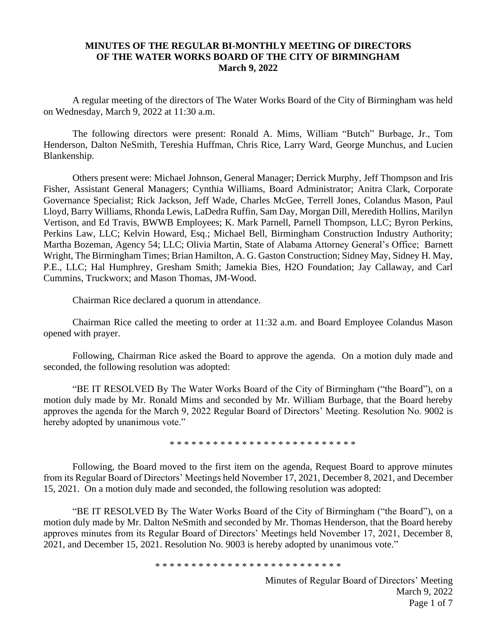## **MINUTES OF THE REGULAR BI-MONTHLY MEETING OF DIRECTORS OF THE WATER WORKS BOARD OF THE CITY OF BIRMINGHAM March 9, 2022**

A regular meeting of the directors of The Water Works Board of the City of Birmingham was held on Wednesday, March 9, 2022 at 11:30 a.m.

The following directors were present: Ronald A. Mims, William "Butch" Burbage, Jr., Tom Henderson, Dalton NeSmith, Tereshia Huffman, Chris Rice, Larry Ward, George Munchus, and Lucien Blankenship.

Others present were: Michael Johnson, General Manager; Derrick Murphy, Jeff Thompson and Iris Fisher, Assistant General Managers; Cynthia Williams, Board Administrator; Anitra Clark, Corporate Governance Specialist; Rick Jackson, Jeff Wade, Charles McGee, Terrell Jones, Colandus Mason, Paul Lloyd, Barry Williams, Rhonda Lewis, LaDedra Ruffin, Sam Day, Morgan Dill, Meredith Hollins, Marilyn Vertison, and Ed Travis, BWWB Employees; K. Mark Parnell, Parnell Thompson, LLC; Byron Perkins, Perkins Law, LLC; Kelvin Howard, Esq.; Michael Bell, Birmingham Construction Industry Authority; Martha Bozeman, Agency 54; LLC; Olivia Martin, State of Alabama Attorney General's Office; Barnett Wright, The Birmingham Times; Brian Hamilton, A. G. Gaston Construction; Sidney May, Sidney H. May, P.E., LLC; Hal Humphrey, Gresham Smith; Jamekia Bies, H2O Foundation; Jay Callaway, and Carl Cummins, Truckworx; and Mason Thomas, JM-Wood.

Chairman Rice declared a quorum in attendance.

Chairman Rice called the meeting to order at 11:32 a.m. and Board Employee Colandus Mason opened with prayer.

Following, Chairman Rice asked the Board to approve the agenda. On a motion duly made and seconded, the following resolution was adopted:

"BE IT RESOLVED By The Water Works Board of the City of Birmingham ("the Board"), on a motion duly made by Mr. Ronald Mims and seconded by Mr. William Burbage, that the Board hereby approves the agenda for the March 9, 2022 Regular Board of Directors' Meeting. Resolution No. 9002 is hereby adopted by unanimous vote."

\* \* \* \* \* \* \* \* \* \* \* \* \* \* \* \* \* \* \* \* \* \* \* \* \* \*

Following, the Board moved to the first item on the agenda, Request Board to approve minutes from its Regular Board of Directors' Meetings held November 17, 2021, December 8, 2021, and December 15, 2021. On a motion duly made and seconded, the following resolution was adopted:

"BE IT RESOLVED By The Water Works Board of the City of Birmingham ("the Board"), on a motion duly made by Mr. Dalton NeSmith and seconded by Mr. Thomas Henderson, that the Board hereby approves minutes from its Regular Board of Directors' Meetings held November 17, 2021, December 8, 2021, and December 15, 2021. Resolution No. 9003 is hereby adopted by unanimous vote."

\* \* \* \* \* \* \* \* \* \* \* \* \* \* \* \* \* \* \* \* \* \* \* \* \* \*

Minutes of Regular Board of Directors' Meeting March 9, 2022 Page 1 of 7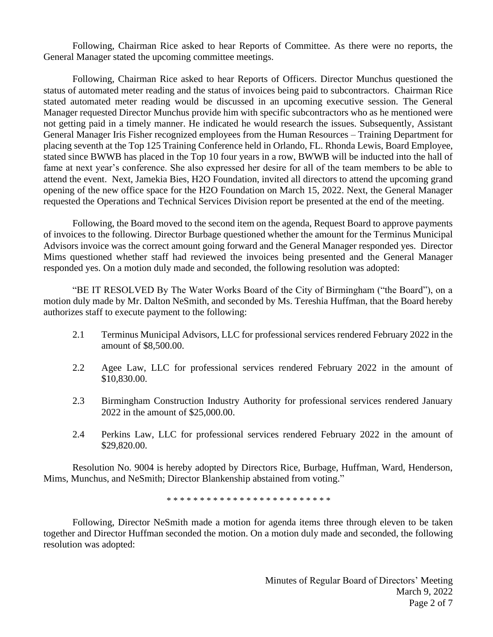Following, Chairman Rice asked to hear Reports of Committee. As there were no reports, the General Manager stated the upcoming committee meetings.

Following, Chairman Rice asked to hear Reports of Officers. Director Munchus questioned the status of automated meter reading and the status of invoices being paid to subcontractors. Chairman Rice stated automated meter reading would be discussed in an upcoming executive session. The General Manager requested Director Munchus provide him with specific subcontractors who as he mentioned were not getting paid in a timely manner. He indicated he would research the issues. Subsequently, Assistant General Manager Iris Fisher recognized employees from the Human Resources – Training Department for placing seventh at the Top 125 Training Conference held in Orlando, FL. Rhonda Lewis, Board Employee, stated since BWWB has placed in the Top 10 four years in a row, BWWB will be inducted into the hall of fame at next year's conference. She also expressed her desire for all of the team members to be able to attend the event. Next, Jamekia Bies, H2O Foundation, invited all directors to attend the upcoming grand opening of the new office space for the H2O Foundation on March 15, 2022. Next, the General Manager requested the Operations and Technical Services Division report be presented at the end of the meeting.

Following, the Board moved to the second item on the agenda, Request Board to approve payments of invoices to the following. Director Burbage questioned whether the amount for the Terminus Municipal Advisors invoice was the correct amount going forward and the General Manager responded yes. Director Mims questioned whether staff had reviewed the invoices being presented and the General Manager responded yes. On a motion duly made and seconded, the following resolution was adopted:

"BE IT RESOLVED By The Water Works Board of the City of Birmingham ("the Board"), on a motion duly made by Mr. Dalton NeSmith, and seconded by Ms. Tereshia Huffman, that the Board hereby authorizes staff to execute payment to the following:

- 2.1 Terminus Municipal Advisors, LLC for professional services rendered February 2022 in the amount of \$8,500.00.
- 2.2 Agee Law, LLC for professional services rendered February 2022 in the amount of \$10,830.00.
- 2.3 Birmingham Construction Industry Authority for professional services rendered January 2022 in the amount of \$25,000.00.
- 2.4 Perkins Law, LLC for professional services rendered February 2022 in the amount of \$29,820.00.

Resolution No. 9004 is hereby adopted by Directors Rice, Burbage, Huffman, Ward, Henderson, Mims, Munchus, and NeSmith; Director Blankenship abstained from voting."

\* \* \* \* \* \* \* \* \* \* \* \* \* \* \* \* \* \* \* \* \* \* \* \* \*

Following, Director NeSmith made a motion for agenda items three through eleven to be taken together and Director Huffman seconded the motion. On a motion duly made and seconded, the following resolution was adopted: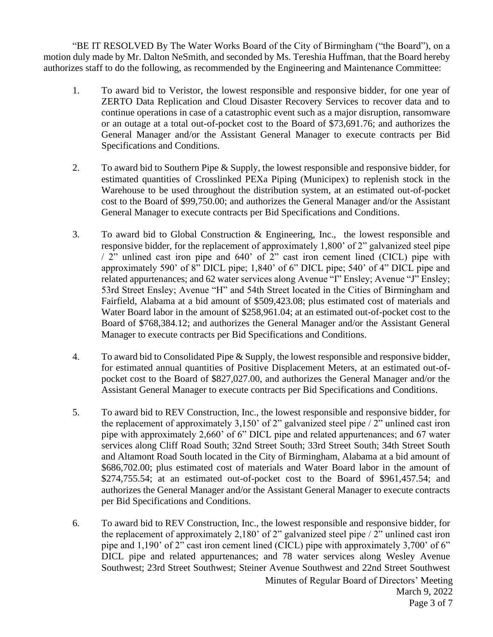"BE IT RESOLVED By The Water Works Board of the City of Birmingham ("the Board"), on a motion duly made by Mr. Dalton NeSmith, and seconded by Ms. Tereshia Huffman, that the Board hereby authorizes staff to do the following, as recommended by the Engineering and Maintenance Committee:

- 1. To award bid to Veristor, the lowest responsible and responsive bidder, for one year of ZERTO Data Replication and Cloud Disaster Recovery Services to recover data and to continue operations in case of a catastrophic event such as a major disruption, ransomware or an outage at a total out-of-pocket cost to the Board of \$73,691.76; and authorizes the General Manager and/or the Assistant General Manager to execute contracts per Bid Specifications and Conditions.
- 2. To award bid to Southern Pipe & Supply, the lowest responsible and responsive bidder, for estimated quantities of Crosslinked PEXa Piping (Municipex) to replenish stock in the Warehouse to be used throughout the distribution system, at an estimated out-of-pocket cost to the Board of \$99,750.00; and authorizes the General Manager and/or the Assistant General Manager to execute contracts per Bid Specifications and Conditions.
- 3. To award bid to Global Construction & Engineering, Inc., the lowest responsible and responsive bidder, for the replacement of approximately 1,800' of 2" galvanized steel pipe / 2" unlined cast iron pipe and 640' of 2" cast iron cement lined (CICL) pipe with approximately 590' of 8" DICL pipe; 1,840' of 6" DICL pipe; 540' of 4" DICL pipe and related appurtenances; and 62 water services along Avenue "I" Ensley; Avenue "J" Ensley; 53rd Street Ensley; Avenue "H" and 54th Street located in the Cities of Birmingham and Fairfield, Alabama at a bid amount of \$509,423.08; plus estimated cost of materials and Water Board labor in the amount of \$258,961.04; at an estimated out-of-pocket cost to the Board of \$768,384.12; and authorizes the General Manager and/or the Assistant General Manager to execute contracts per Bid Specifications and Conditions.
- 4. To award bid to Consolidated Pipe & Supply, the lowest responsible and responsive bidder, for estimated annual quantities of Positive Displacement Meters, at an estimated out-ofpocket cost to the Board of \$827,027.00, and authorizes the General Manager and/or the Assistant General Manager to execute contracts per Bid Specifications and Conditions.
- 5. To award bid to REV Construction, Inc., the lowest responsible and responsive bidder, for the replacement of approximately 3,150' of 2" galvanized steel pipe / 2" unlined cast iron pipe with approximately 2,660' of 6" DICL pipe and related appurtenances; and 67 water services along Cliff Road South; 32nd Street South; 33rd Street South; 34th Street South and Altamont Road South located in the City of Birmingham, Alabama at a bid amount of \$686,702.00; plus estimated cost of materials and Water Board labor in the amount of \$274,755.54; at an estimated out-of-pocket cost to the Board of \$961,457.54; and authorizes the General Manager and/or the Assistant General Manager to execute contracts per Bid Specifications and Conditions.
- 6. To award bid to REV Construction, Inc., the lowest responsible and responsive bidder, for the replacement of approximately 2,180' of 2" galvanized steel pipe / 2" unlined cast iron pipe and 1,190' of 2" cast iron cement lined (CICL) pipe with approximately 3,700' of 6" DICL pipe and related appurtenances; and 78 water services along Wesley Avenue Southwest; 23rd Street Southwest; Steiner Avenue Southwest and 22nd Street Southwest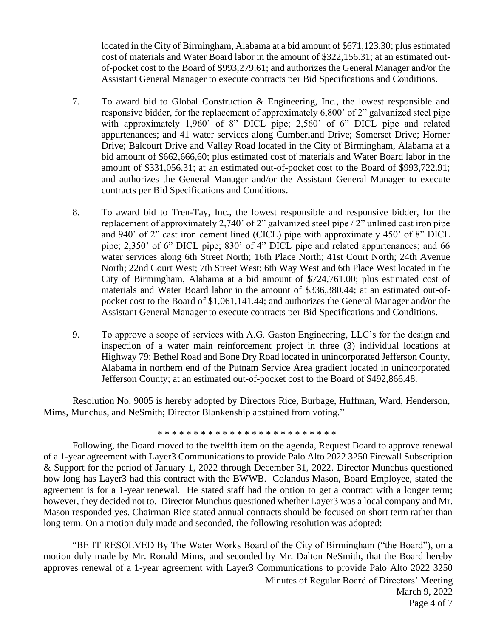located in the City of Birmingham, Alabama at a bid amount of \$671,123.30; plus estimated cost of materials and Water Board labor in the amount of \$322,156.31; at an estimated outof-pocket cost to the Board of \$993,279.61; and authorizes the General Manager and/or the Assistant General Manager to execute contracts per Bid Specifications and Conditions.

- 7. To award bid to Global Construction & Engineering, Inc., the lowest responsible and responsive bidder, for the replacement of approximately 6,800' of 2" galvanized steel pipe with approximately 1,960' of 8" DICL pipe; 2,560' of 6" DICL pipe and related appurtenances; and 41 water services along Cumberland Drive; Somerset Drive; Horner Drive; Balcourt Drive and Valley Road located in the City of Birmingham, Alabama at a bid amount of \$662,666,60; plus estimated cost of materials and Water Board labor in the amount of \$331,056.31; at an estimated out-of-pocket cost to the Board of \$993,722.91; and authorizes the General Manager and/or the Assistant General Manager to execute contracts per Bid Specifications and Conditions.
- 8. To award bid to Tren-Tay, Inc., the lowest responsible and responsive bidder, for the replacement of approximately 2,740' of 2" galvanized steel pipe / 2" unlined cast iron pipe and 940' of 2" cast iron cement lined (CICL) pipe with approximately 450' of 8" DICL pipe; 2,350' of 6" DICL pipe; 830' of 4" DICL pipe and related appurtenances; and 66 water services along 6th Street North; 16th Place North; 41st Court North; 24th Avenue North; 22nd Court West; 7th Street West; 6th Way West and 6th Place West located in the City of Birmingham, Alabama at a bid amount of \$724,761.00; plus estimated cost of materials and Water Board labor in the amount of \$336,380.44; at an estimated out-ofpocket cost to the Board of \$1,061,141.44; and authorizes the General Manager and/or the Assistant General Manager to execute contracts per Bid Specifications and Conditions.
- 9. To approve a scope of services with A.G. Gaston Engineering, LLC's for the design and inspection of a water main reinforcement project in three (3) individual locations at Highway 79; Bethel Road and Bone Dry Road located in unincorporated Jefferson County, Alabama in northern end of the Putnam Service Area gradient located in unincorporated Jefferson County; at an estimated out-of-pocket cost to the Board of \$492,866.48.

Resolution No. 9005 is hereby adopted by Directors Rice, Burbage, Huffman, Ward, Henderson, Mims, Munchus, and NeSmith; Director Blankenship abstained from voting."

\* \* \* \* \* \* \* \* \* \* \* \* \* \* \* \* \* \* \* \* \* \* \* \* \*

Following, the Board moved to the twelfth item on the agenda, Request Board to approve renewal of a 1-year agreement with Layer3 Communications to provide Palo Alto 2022 3250 Firewall Subscription & Support for the period of January 1, 2022 through December 31, 2022. Director Munchus questioned how long has Layer3 had this contract with the BWWB. Colandus Mason, Board Employee, stated the agreement is for a 1-year renewal. He stated staff had the option to get a contract with a longer term; however, they decided not to. Director Munchus questioned whether Layer3 was a local company and Mr. Mason responded yes. Chairman Rice stated annual contracts should be focused on short term rather than long term. On a motion duly made and seconded, the following resolution was adopted:

"BE IT RESOLVED By The Water Works Board of the City of Birmingham ("the Board"), on a motion duly made by Mr. Ronald Mims, and seconded by Mr. Dalton NeSmith, that the Board hereby approves renewal of a 1-year agreement with Layer3 Communications to provide Palo Alto 2022 3250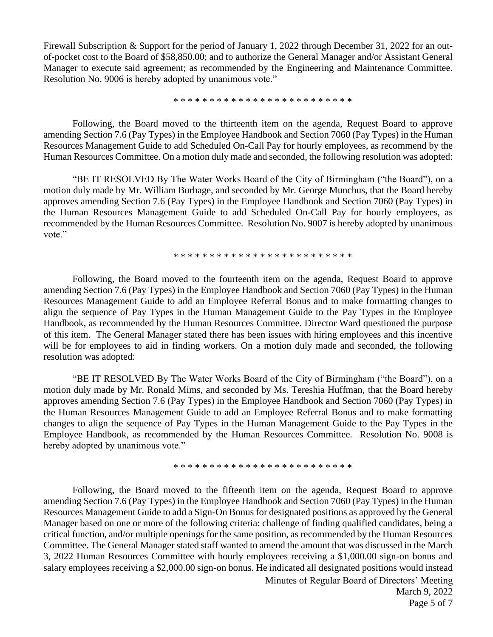Firewall Subscription & Support for the period of January 1, 2022 through December 31, 2022 for an outof-pocket cost to the Board of \$58,850.00; and to authorize the General Manager and/or Assistant General Manager to execute said agreement; as recommended by the Engineering and Maintenance Committee. Resolution No. 9006 is hereby adopted by unanimous vote."

\* \* \* \* \* \* \* \* \* \* \* \* \* \* \* \* \* \* \* \* \* \* \* \* \*

Following, the Board moved to the thirteenth item on the agenda, Request Board to approve amending Section 7.6 (Pay Types) in the Employee Handbook and Section 7060 (Pay Types) in the Human Resources Management Guide to add Scheduled On-Call Pay for hourly employees, as recommend by the Human Resources Committee. On a motion duly made and seconded, the following resolution was adopted:

"BE IT RESOLVED By The Water Works Board of the City of Birmingham ("the Board"), on a motion duly made by Mr. William Burbage, and seconded by Mr. George Munchus, that the Board hereby approves amending Section 7.6 (Pay Types) in the Employee Handbook and Section 7060 (Pay Types) in the Human Resources Management Guide to add Scheduled On-Call Pay for hourly employees, as recommended by the Human Resources Committee. Resolution No. 9007 is hereby adopted by unanimous vote."

\* \* \* \* \* \* \* \* \* \* \* \* \* \* \* \* \* \* \* \* \* \* \* \* \*

Following, the Board moved to the fourteenth item on the agenda, Request Board to approve amending Section 7.6 (Pay Types) in the Employee Handbook and Section 7060 (Pay Types) in the Human Resources Management Guide to add an Employee Referral Bonus and to make formatting changes to align the sequence of Pay Types in the Human Management Guide to the Pay Types in the Employee Handbook, as recommended by the Human Resources Committee. Director Ward questioned the purpose of this item. The General Manager stated there has been issues with hiring employees and this incentive will be for employees to aid in finding workers. On a motion duly made and seconded, the following resolution was adopted:

"BE IT RESOLVED By The Water Works Board of the City of Birmingham ("the Board"), on a motion duly made by Mr. Ronald Mims, and seconded by Ms. Tereshia Huffman, that the Board hereby approves amending Section 7.6 (Pay Types) in the Employee Handbook and Section 7060 (Pay Types) in the Human Resources Management Guide to add an Employee Referral Bonus and to make formatting changes to align the sequence of Pay Types in the Human Management Guide to the Pay Types in the Employee Handbook, as recommended by the Human Resources Committee. Resolution No. 9008 is hereby adopted by unanimous vote."

\* \* \* \* \* \* \* \* \* \* \* \* \* \* \* \* \* \* \* \* \* \* \* \* \*

Following, the Board moved to the fifteenth item on the agenda, Request Board to approve amending Section 7.6 (Pay Types) in the Employee Handbook and Section 7060 (Pay Types) in the Human Resources Management Guide to add a Sign-On Bonus for designated positions as approved by the General Manager based on one or more of the following criteria: challenge of finding qualified candidates, being a critical function, and/or multiple openings for the same position, as recommended by the Human Resources Committee. The General Manager stated staff wanted to amend the amount that was discussed in the March 3, 2022 Human Resources Committee with hourly employees receiving a \$1,000.00 sign-on bonus and salary employees receiving a \$2,000.00 sign-on bonus. He indicated all designated positions would instead

> Minutes of Regular Board of Directors' Meeting March 9, 2022 Page 5 of 7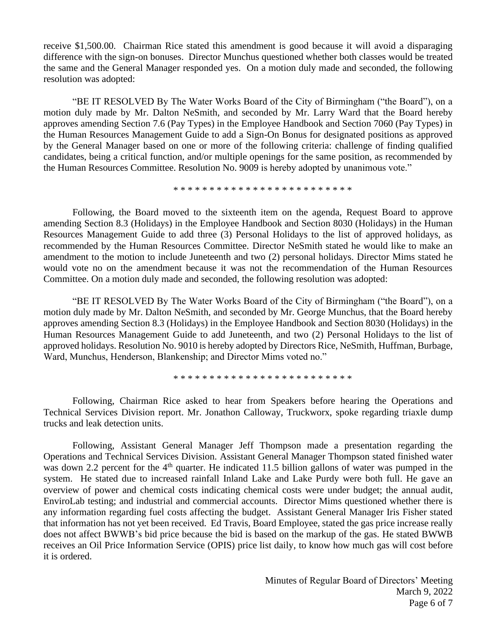receive \$1,500.00. Chairman Rice stated this amendment is good because it will avoid a disparaging difference with the sign-on bonuses. Director Munchus questioned whether both classes would be treated the same and the General Manager responded yes. On a motion duly made and seconded, the following resolution was adopted:

"BE IT RESOLVED By The Water Works Board of the City of Birmingham ("the Board"), on a motion duly made by Mr. Dalton NeSmith, and seconded by Mr. Larry Ward that the Board hereby approves amending Section 7.6 (Pay Types) in the Employee Handbook and Section 7060 (Pay Types) in the Human Resources Management Guide to add a Sign-On Bonus for designated positions as approved by the General Manager based on one or more of the following criteria: challenge of finding qualified candidates, being a critical function, and/or multiple openings for the same position, as recommended by the Human Resources Committee. Resolution No. 9009 is hereby adopted by unanimous vote."

\* \* \* \* \* \* \* \* \* \* \* \* \* \* \* \* \* \* \* \* \* \* \* \* \*

Following, the Board moved to the sixteenth item on the agenda, Request Board to approve amending Section 8.3 (Holidays) in the Employee Handbook and Section 8030 (Holidays) in the Human Resources Management Guide to add three (3) Personal Holidays to the list of approved holidays, as recommended by the Human Resources Committee. Director NeSmith stated he would like to make an amendment to the motion to include Juneteenth and two (2) personal holidays. Director Mims stated he would vote no on the amendment because it was not the recommendation of the Human Resources Committee. On a motion duly made and seconded, the following resolution was adopted:

"BE IT RESOLVED By The Water Works Board of the City of Birmingham ("the Board"), on a motion duly made by Mr. Dalton NeSmith, and seconded by Mr. George Munchus, that the Board hereby approves amending Section 8.3 (Holidays) in the Employee Handbook and Section 8030 (Holidays) in the Human Resources Management Guide to add Juneteenth, and two (2) Personal Holidays to the list of approved holidays. Resolution No. 9010 is hereby adopted by Directors Rice, NeSmith, Huffman, Burbage, Ward, Munchus, Henderson, Blankenship; and Director Mims voted no."

\* \* \* \* \* \* \* \* \* \* \* \* \* \* \* \* \* \* \* \* \* \* \* \* \*

Following, Chairman Rice asked to hear from Speakers before hearing the Operations and Technical Services Division report. Mr. Jonathon Calloway, Truckworx, spoke regarding triaxle dump trucks and leak detection units.

Following, Assistant General Manager Jeff Thompson made a presentation regarding the Operations and Technical Services Division. Assistant General Manager Thompson stated finished water was down 2.2 percent for the  $4<sup>th</sup>$  quarter. He indicated 11.5 billion gallons of water was pumped in the system. He stated due to increased rainfall Inland Lake and Lake Purdy were both full. He gave an overview of power and chemical costs indicating chemical costs were under budget; the annual audit, EnviroLab testing; and industrial and commercial accounts. Director Mims questioned whether there is any information regarding fuel costs affecting the budget. Assistant General Manager Iris Fisher stated that information has not yet been received. Ed Travis, Board Employee, stated the gas price increase really does not affect BWWB's bid price because the bid is based on the markup of the gas. He stated BWWB receives an Oil Price Information Service (OPIS) price list daily, to know how much gas will cost before it is ordered.